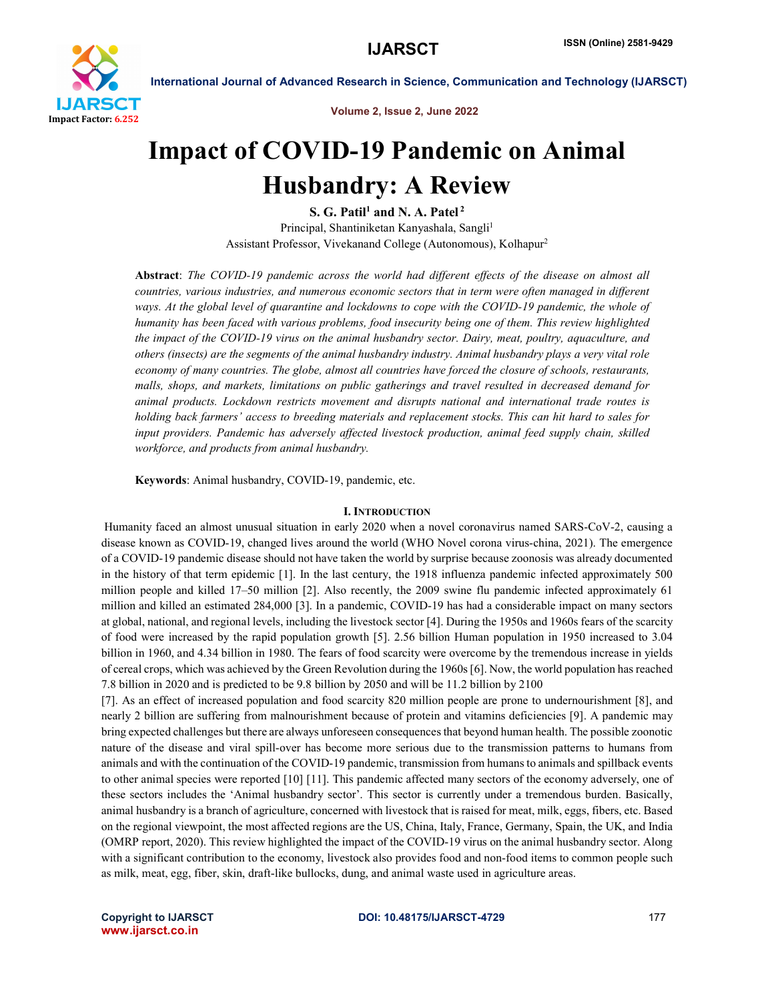

Volume 2, Issue 2, June 2022

# Impact of COVID-19 Pandemic on Animal Husbandry: A Review

S. G. Patil<sup>1</sup> and N. A. Patel<sup>2</sup> Principal, Shantiniketan Kanyashala, Sangli<sup>1</sup> Assistant Professor, Vivekanand College (Autonomous), Kolhapur2

Abstract: *The COVID-19 pandemic across the world had different effects of the disease on almost all countries, various industries, and numerous economic sectors that in term were often managed in different ways. At the global level of quarantine and lockdowns to cope with the COVID-19 pandemic, the whole of humanity has been faced with various problems, food insecurity being one of them. This review highlighted the impact of the COVID-19 virus on the animal husbandry sector. Dairy, meat, poultry, aquaculture, and others (insects) are the segments of the animal husbandry industry. Animal husbandry plays a very vital role economy of many countries. The globe, almost all countries have forced the closure of schools, restaurants, malls, shops, and markets, limitations on public gatherings and travel resulted in decreased demand for animal products. Lockdown restricts movement and disrupts national and international trade routes is holding back farmers' access to breeding materials and replacement stocks. This can hit hard to sales for input providers. Pandemic has adversely affected livestock production, animal feed supply chain, skilled workforce, and products from animal husbandry.*

Keywords: Animal husbandry, COVID-19, pandemic, etc.

# I. INTRODUCTION

Humanity faced an almost unusual situation in early 2020 when a novel coronavirus named SARS-CoV-2, causing a disease known as COVID-19, changed lives around the world (WHO Novel corona virus-china, 2021). The emergence of a COVID-19 pandemic disease should not have taken the world by surprise because zoonosis was already documented in the history of that term epidemic [1]. In the last century, the 1918 influenza pandemic infected approximately 500 million people and killed 17–50 million [2]. Also recently, the 2009 swine flu pandemic infected approximately 61 million and killed an estimated 284,000 [3]. In a pandemic, COVID-19 has had a considerable impact on many sectors at global, national, and regional levels, including the livestock sector [4]. During the 1950s and 1960s fears of the scarcity of food were increased by the rapid population growth [5]. 2.56 billion Human population in 1950 increased to 3.04 billion in 1960, and 4.34 billion in 1980. The fears of food scarcity were overcome by the tremendous increase in yields of cereal crops, which was achieved by the Green Revolution during the 1960s [6]. Now, the world population has reached 7.8 billion in 2020 and is predicted to be 9.8 billion by 2050 and will be 11.2 billion by 2100

[7]. As an effect of increased population and food scarcity 820 million people are prone to undernourishment [8], and nearly 2 billion are suffering from malnourishment because of protein and vitamins deficiencies [9]. A pandemic may bring expected challenges but there are always unforeseen consequences that beyond human health. The possible zoonotic nature of the disease and viral spill-over has become more serious due to the transmission patterns to humans from animals and with the continuation of the COVID-19 pandemic, transmission from humans to animals and spillback events to other animal species were reported [10] [11]. This pandemic affected many sectors of the economy adversely, one of these sectors includes the 'Animal husbandry sector'. This sector is currently under a tremendous burden. Basically, animal husbandry is a branch of agriculture, concerned with livestock that is raised for meat, milk, eggs, fibers, etc. Based on the regional viewpoint, the most affected regions are the US, China, Italy, France, Germany, Spain, the UK, and India (OMRP report, 2020). This review highlighted the impact of the COVID-19 virus on the animal husbandry sector. Along with a significant contribution to the economy, livestock also provides food and non-food items to common people such as milk, meat, egg, fiber, skin, draft-like bullocks, dung, and animal waste used in agriculture areas.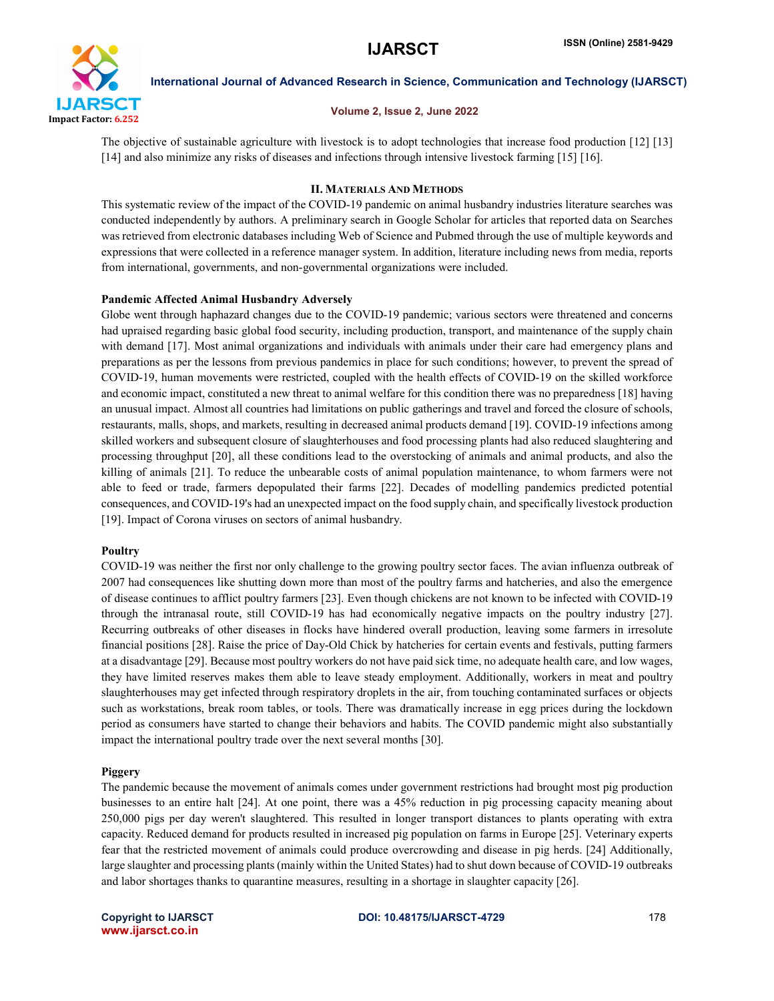

# Volume 2, Issue 2, June 2022

The objective of sustainable agriculture with livestock is to adopt technologies that increase food production [12] [13] [14] and also minimize any risks of diseases and infections through intensive livestock farming [15] [16].

# II. MATERIALS AND METHODS

This systematic review of the impact of the COVID-19 pandemic on animal husbandry industries literature searches was conducted independently by authors. A preliminary search in Google Scholar for articles that reported data on Searches was retrieved from electronic databases including Web of Science and Pubmed through the use of multiple keywords and expressions that were collected in a reference manager system. In addition, literature including news from media, reports from international, governments, and non-governmental organizations were included.

# Pandemic Affected Animal Husbandry Adversely

Globe went through haphazard changes due to the COVID-19 pandemic; various sectors were threatened and concerns had upraised regarding basic global food security, including production, transport, and maintenance of the supply chain with demand [17]. Most animal organizations and individuals with animals under their care had emergency plans and preparations as per the lessons from previous pandemics in place for such conditions; however, to prevent the spread of COVID-19, human movements were restricted, coupled with the health effects of COVID-19 on the skilled workforce and economic impact, constituted a new threat to animal welfare for this condition there was no preparedness [18] having an unusual impact. Almost all countries had limitations on public gatherings and travel and forced the closure of schools, restaurants, malls, shops, and markets, resulting in decreased animal products demand [19]. COVID-19 infections among skilled workers and subsequent closure of slaughterhouses and food processing plants had also reduced slaughtering and processing throughput [20], all these conditions lead to the overstocking of animals and animal products, and also the killing of animals [21]. To reduce the unbearable costs of animal population maintenance, to whom farmers were not able to feed or trade, farmers depopulated their farms [22]. Decades of modelling pandemics predicted potential consequences, and COVID-19's had an unexpected impact on the food supply chain, and specifically livestock production [19]. Impact of Corona viruses on sectors of animal husbandry.

# **Poultry**

COVID-19 was neither the first nor only challenge to the growing poultry sector faces. The avian influenza outbreak of 2007 had consequences like shutting down more than most of the poultry farms and hatcheries, and also the emergence of disease continues to afflict poultry farmers [23]. Even though chickens are not known to be infected with COVID-19 through the intranasal route, still COVID-19 has had economically negative impacts on the poultry industry [27]. Recurring outbreaks of other diseases in flocks have hindered overall production, leaving some farmers in irresolute financial positions [28]. Raise the price of Day-Old Chick by hatcheries for certain events and festivals, putting farmers at a disadvantage [29]. Because most poultry workers do not have paid sick time, no adequate health care, and low wages, they have limited reserves makes them able to leave steady employment. Additionally, workers in meat and poultry slaughterhouses may get infected through respiratory droplets in the air, from touching contaminated surfaces or objects such as workstations, break room tables, or tools. There was dramatically increase in egg prices during the lockdown period as consumers have started to change their behaviors and habits. The COVID pandemic might also substantially impact the international poultry trade over the next several months [30].

# Piggery

The pandemic because the movement of animals comes under government restrictions had brought most pig production businesses to an entire halt [24]. At one point, there was a 45% reduction in pig processing capacity meaning about 250,000 pigs per day weren't slaughtered. This resulted in longer transport distances to plants operating with extra capacity. Reduced demand for products resulted in increased pig population on farms in Europe [25]. Veterinary experts fear that the restricted movement of animals could produce overcrowding and disease in pig herds. [24] Additionally, large slaughter and processing plants (mainly within the United States) had to shut down because of COVID-19 outbreaks and labor shortages thanks to quarantine measures, resulting in a shortage in slaughter capacity [26].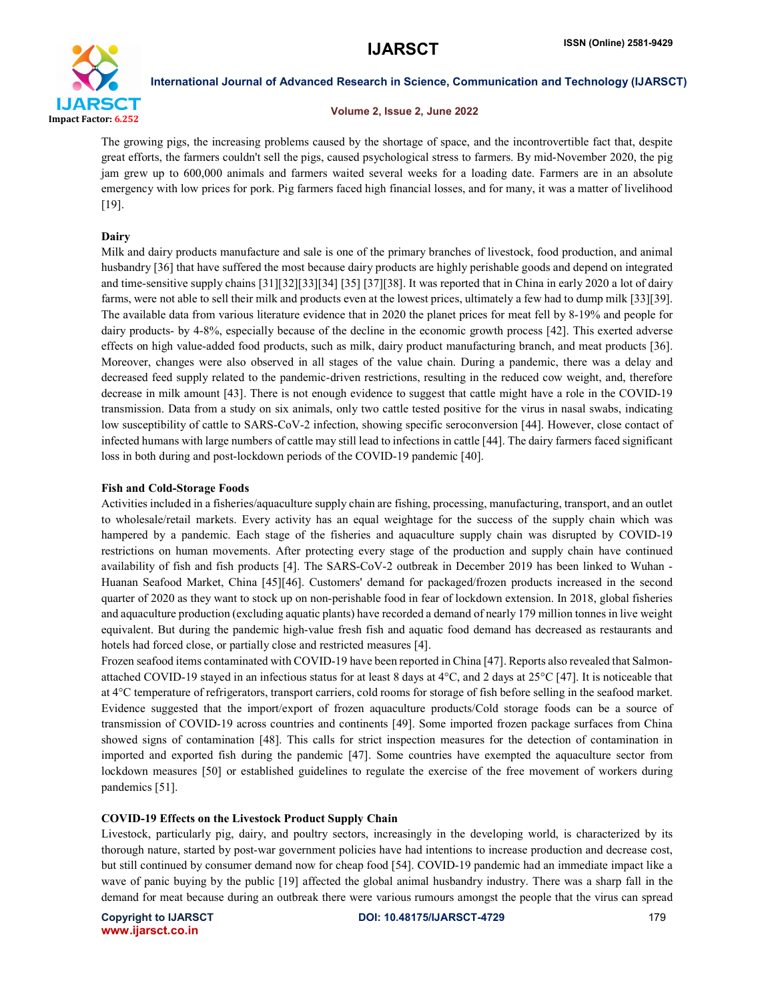

# Volume 2, Issue 2, June 2022

The growing pigs, the increasing problems caused by the shortage of space, and the incontrovertible fact that, despite great efforts, the farmers couldn't sell the pigs, caused psychological stress to farmers. By mid-November 2020, the pig jam grew up to 600,000 animals and farmers waited several weeks for a loading date. Farmers are in an absolute emergency with low prices for pork. Pig farmers faced high financial losses, and for many, it was a matter of livelihood [19].

# Dairy

Milk and dairy products manufacture and sale is one of the primary branches of livestock, food production, and animal husbandry [36] that have suffered the most because dairy products are highly perishable goods and depend on integrated and time-sensitive supply chains [31][32][33][34] [35] [37][38]. It was reported that in China in early 2020 a lot of dairy farms, were not able to sell their milk and products even at the lowest prices, ultimately a few had to dump milk [33][39]. The available data from various literature evidence that in 2020 the planet prices for meat fell by 8-19% and people for dairy products- by 4-8%, especially because of the decline in the economic growth process [42]. This exerted adverse effects on high value-added food products, such as milk, dairy product manufacturing branch, and meat products [36]. Moreover, changes were also observed in all stages of the value chain. During a pandemic, there was a delay and decreased feed supply related to the pandemic-driven restrictions, resulting in the reduced cow weight, and, therefore decrease in milk amount [43]. There is not enough evidence to suggest that cattle might have a role in the COVID-19 transmission. Data from a study on six animals, only two cattle tested positive for the virus in nasal swabs, indicating low susceptibility of cattle to SARS-CoV-2 infection, showing specific seroconversion [44]. However, close contact of infected humans with large numbers of cattle may still lead to infections in cattle [44]. The dairy farmers faced significant loss in both during and post-lockdown periods of the COVID-19 pandemic [40].

# Fish and Cold-Storage Foods

Activities included in a fisheries/aquaculture supply chain are fishing, processing, manufacturing, transport, and an outlet to wholesale/retail markets. Every activity has an equal weightage for the success of the supply chain which was hampered by a pandemic. Each stage of the fisheries and aquaculture supply chain was disrupted by COVID-19 restrictions on human movements. After protecting every stage of the production and supply chain have continued availability of fish and fish products [4]. The SARS-CoV-2 outbreak in December 2019 has been linked to Wuhan - Huanan Seafood Market, China [45][46]. Customers' demand for packaged/frozen products increased in the second quarter of 2020 as they want to stock up on non-perishable food in fear of lockdown extension. In 2018, global fisheries and aquaculture production (excluding aquatic plants) have recorded a demand of nearly 179 million tonnes in live weight equivalent. But during the pandemic high-value fresh fish and aquatic food demand has decreased as restaurants and hotels had forced close, or partially close and restricted measures [4].

Frozen seafood items contaminated with COVID-19 have been reported in China [47]. Reports also revealed that Salmonattached COVID-19 stayed in an infectious status for at least 8 days at  $4^{\circ}$ C, and 2 days at  $25^{\circ}$ C [47]. It is noticeable that at 4°C temperature of refrigerators, transport carriers, cold rooms for storage of fish before selling in the seafood market. Evidence suggested that the import/export of frozen aquaculture products/Cold storage foods can be a source of transmission of COVID-19 across countries and continents [49]. Some imported frozen package surfaces from China showed signs of contamination [48]. This calls for strict inspection measures for the detection of contamination in imported and exported fish during the pandemic [47]. Some countries have exempted the aquaculture sector from lockdown measures [50] or established guidelines to regulate the exercise of the free movement of workers during pandemics [51].

# COVID-19 Effects on the Livestock Product Supply Chain

Livestock, particularly pig, dairy, and poultry sectors, increasingly in the developing world, is characterized by its thorough nature, started by post-war government policies have had intentions to increase production and decrease cost, but still continued by consumer demand now for cheap food [54]. COVID-19 pandemic had an immediate impact like a wave of panic buying by the public [19] affected the global animal husbandry industry. There was a sharp fall in the demand for meat because during an outbreak there were various rumours amongst the people that the virus can spread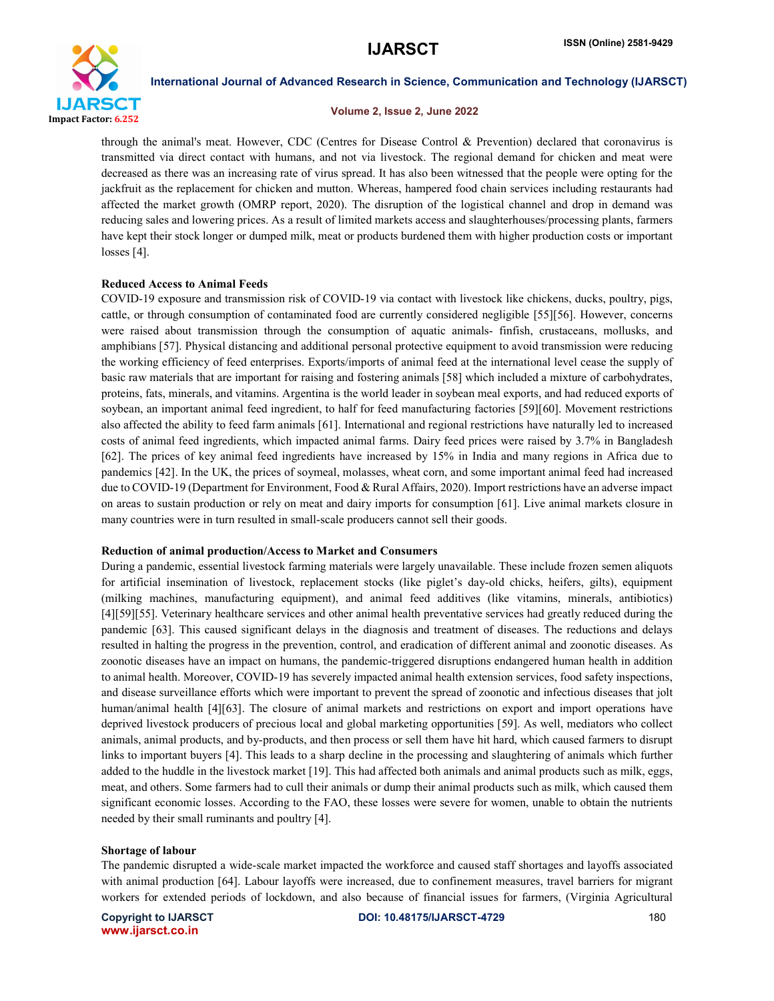

### Volume 2, Issue 2, June 2022

through the animal's meat. However, CDC (Centres for Disease Control & Prevention) declared that coronavirus is transmitted via direct contact with humans, and not via livestock. The regional demand for chicken and meat were decreased as there was an increasing rate of virus spread. It has also been witnessed that the people were opting for the jackfruit as the replacement for chicken and mutton. Whereas, hampered food chain services including restaurants had affected the market growth (OMRP report, 2020). The disruption of the logistical channel and drop in demand was reducing sales and lowering prices. As a result of limited markets access and slaughterhouses/processing plants, farmers have kept their stock longer or dumped milk, meat or products burdened them with higher production costs or important losses [4].

### Reduced Access to Animal Feeds

COVID-19 exposure and transmission risk of COVID-19 via contact with livestock like chickens, ducks, poultry, pigs, cattle, or through consumption of contaminated food are currently considered negligible [55][56]. However, concerns were raised about transmission through the consumption of aquatic animals- finfish, crustaceans, mollusks, and amphibians [57]. Physical distancing and additional personal protective equipment to avoid transmission were reducing the working efficiency of feed enterprises. Exports/imports of animal feed at the international level cease the supply of basic raw materials that are important for raising and fostering animals [58] which included a mixture of carbohydrates, proteins, fats, minerals, and vitamins. Argentina is the world leader in soybean meal exports, and had reduced exports of soybean, an important animal feed ingredient, to half for feed manufacturing factories [59][60]. Movement restrictions also affected the ability to feed farm animals [61]. International and regional restrictions have naturally led to increased costs of animal feed ingredients, which impacted animal farms. Dairy feed prices were raised by 3.7% in Bangladesh [62]. The prices of key animal feed ingredients have increased by 15% in India and many regions in Africa due to pandemics [42]. In the UK, the prices of soymeal, molasses, wheat corn, and some important animal feed had increased due to COVID-19 (Department for Environment, Food & Rural Affairs, 2020). Import restrictions have an adverse impact on areas to sustain production or rely on meat and dairy imports for consumption [61]. Live animal markets closure in many countries were in turn resulted in small-scale producers cannot sell their goods.

### Reduction of animal production/Access to Market and Consumers

During a pandemic, essential livestock farming materials were largely unavailable. These include frozen semen aliquots for artificial insemination of livestock, replacement stocks (like piglet's day-old chicks, heifers, gilts), equipment (milking machines, manufacturing equipment), and animal feed additives (like vitamins, minerals, antibiotics) [4][59][55]. Veterinary healthcare services and other animal health preventative services had greatly reduced during the pandemic [63]. This caused significant delays in the diagnosis and treatment of diseases. The reductions and delays resulted in halting the progress in the prevention, control, and eradication of different animal and zoonotic diseases. As zoonotic diseases have an impact on humans, the pandemic-triggered disruptions endangered human health in addition to animal health. Moreover, COVID-19 has severely impacted animal health extension services, food safety inspections, and disease surveillance efforts which were important to prevent the spread of zoonotic and infectious diseases that jolt human/animal health [4][63]. The closure of animal markets and restrictions on export and import operations have deprived livestock producers of precious local and global marketing opportunities [59]. As well, mediators who collect animals, animal products, and by-products, and then process or sell them have hit hard, which caused farmers to disrupt links to important buyers [4]. This leads to a sharp decline in the processing and slaughtering of animals which further added to the huddle in the livestock market [19]. This had affected both animals and animal products such as milk, eggs, meat, and others. Some farmers had to cull their animals or dump their animal products such as milk, which caused them significant economic losses. According to the FAO, these losses were severe for women, unable to obtain the nutrients needed by their small ruminants and poultry [4].

### Shortage of labour

The pandemic disrupted a wide-scale market impacted the workforce and caused staff shortages and layoffs associated with animal production [64]. Labour layoffs were increased, due to confinement measures, travel barriers for migrant workers for extended periods of lockdown, and also because of financial issues for farmers, (Virginia Agricultural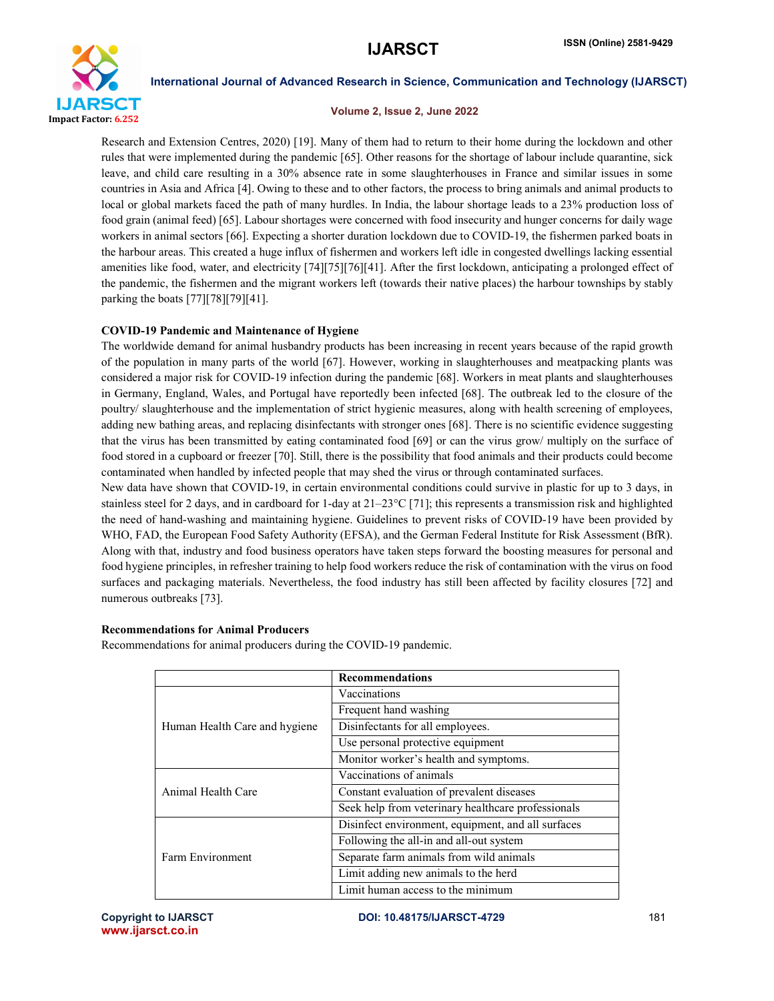

## Volume 2, Issue 2, June 2022

Research and Extension Centres, 2020) [19]. Many of them had to return to their home during the lockdown and other rules that were implemented during the pandemic [65]. Other reasons for the shortage of labour include quarantine, sick leave, and child care resulting in a 30% absence rate in some slaughterhouses in France and similar issues in some countries in Asia and Africa [4]. Owing to these and to other factors, the process to bring animals and animal products to local or global markets faced the path of many hurdles. In India, the labour shortage leads to a 23% production loss of food grain (animal feed) [65]. Labour shortages were concerned with food insecurity and hunger concerns for daily wage workers in animal sectors [66]. Expecting a shorter duration lockdown due to COVID-19, the fishermen parked boats in the harbour areas. This created a huge influx of fishermen and workers left idle in congested dwellings lacking essential amenities like food, water, and electricity [74][75][76][41]. After the first lockdown, anticipating a prolonged effect of the pandemic, the fishermen and the migrant workers left (towards their native places) the harbour townships by stably parking the boats [77][78][79][41].

# COVID-19 Pandemic and Maintenance of Hygiene

The worldwide demand for animal husbandry products has been increasing in recent years because of the rapid growth of the population in many parts of the world [67]. However, working in slaughterhouses and meatpacking plants was considered a major risk for COVID-19 infection during the pandemic [68]. Workers in meat plants and slaughterhouses in Germany, England, Wales, and Portugal have reportedly been infected [68]. The outbreak led to the closure of the poultry/ slaughterhouse and the implementation of strict hygienic measures, along with health screening of employees, adding new bathing areas, and replacing disinfectants with stronger ones [68]. There is no scientific evidence suggesting that the virus has been transmitted by eating contaminated food [69] or can the virus grow/ multiply on the surface of food stored in a cupboard or freezer [70]. Still, there is the possibility that food animals and their products could become contaminated when handled by infected people that may shed the virus or through contaminated surfaces.

New data have shown that COVID-19, in certain environmental conditions could survive in plastic for up to 3 days, in stainless steel for 2 days, and in cardboard for 1-day at  $21-23^{\circ}C$  [71]; this represents a transmission risk and highlighted the need of hand-washing and maintaining hygiene. Guidelines to prevent risks of COVID-19 have been provided by WHO, FAD, the European Food Safety Authority (EFSA), and the German Federal Institute for Risk Assessment (BfR). Along with that, industry and food business operators have taken steps forward the boosting measures for personal and food hygiene principles, in refresher training to help food workers reduce the risk of contamination with the virus on food surfaces and packaging materials. Nevertheless, the food industry has still been affected by facility closures [72] and numerous outbreaks [73].

# Recommendations for Animal Producers

Recommendations for animal producers during the COVID-19 pandemic.

|                               | <b>Recommendations</b>                             |
|-------------------------------|----------------------------------------------------|
| Human Health Care and hygiene | Vaccinations                                       |
|                               | Frequent hand washing                              |
|                               | Disinfectants for all employees.                   |
|                               | Use personal protective equipment                  |
|                               | Monitor worker's health and symptoms.              |
| Animal Health Care            | Vaccinations of animals                            |
|                               | Constant evaluation of prevalent diseases          |
|                               | Seek help from veterinary healthcare professionals |
| Farm Environment              | Disinfect environment, equipment, and all surfaces |
|                               | Following the all-in and all-out system            |
|                               | Separate farm animals from wild animals            |
|                               | Limit adding new animals to the herd               |
|                               | Limit human access to the minimum                  |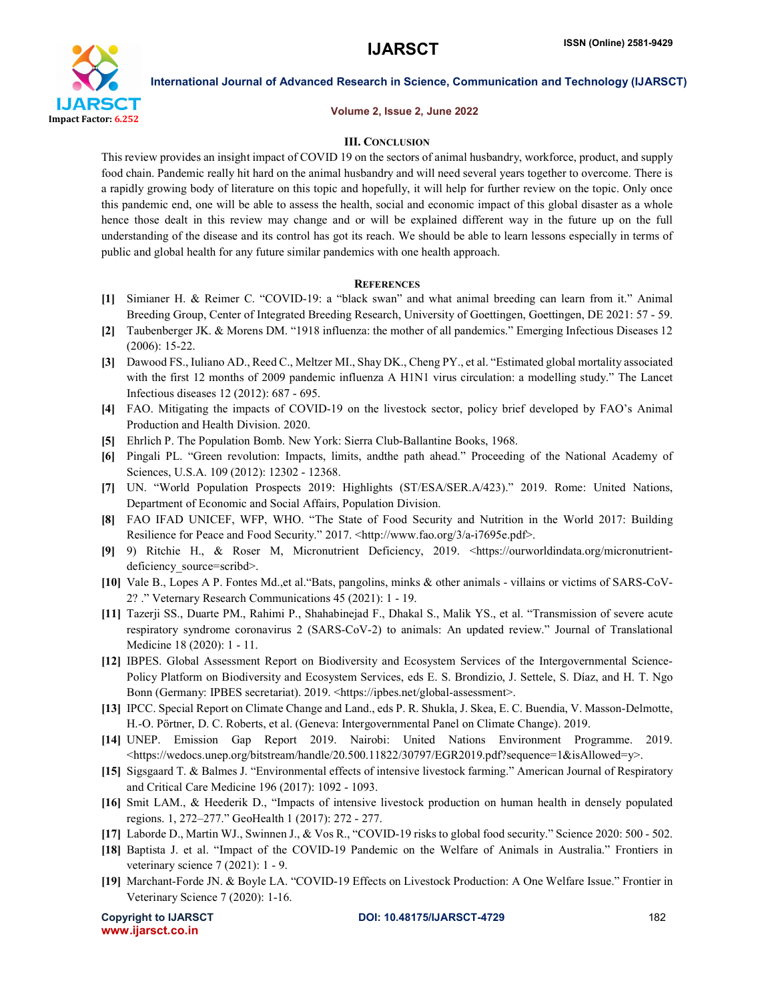

### Volume 2, Issue 2, June 2022

# III. CONCLUSION

This review provides an insight impact of COVID 19 on the sectors of animal husbandry, workforce, product, and supply food chain. Pandemic really hit hard on the animal husbandry and will need several years together to overcome. There is a rapidly growing body of literature on this topic and hopefully, it will help for further review on the topic. Only once this pandemic end, one will be able to assess the health, social and economic impact of this global disaster as a whole hence those dealt in this review may change and or will be explained different way in the future up on the full understanding of the disease and its control has got its reach. We should be able to learn lessons especially in terms of public and global health for any future similar pandemics with one health approach.

### **REFERENCES**

- [1] Simianer H. & Reimer C. "COVID-19: a "black swan" and what animal breeding can learn from it." Animal Breeding Group, Center of Integrated Breeding Research, University of Goettingen, Goettingen, DE 2021: 57 - 59.
- [2] Taubenberger JK. & Morens DM. "1918 influenza: the mother of all pandemics." Emerging Infectious Diseases 12 (2006): 15-22.
- [3] Dawood FS., Iuliano AD., Reed C., Meltzer MI., Shay DK., Cheng PY., et al. "Estimated global mortality associated with the first 12 months of 2009 pandemic influenza A H1N1 virus circulation: a modelling study." The Lancet Infectious diseases 12 (2012): 687 - 695.
- [4] FAO. Mitigating the impacts of COVID-19 on the livestock sector, policy brief developed by FAO's Animal Production and Health Division. 2020.
- [5] Ehrlich P. The Population Bomb. New York: Sierra Club-Ballantine Books, 1968.
- [6] Pingali PL. "Green revolution: Impacts, limits, andthe path ahead." Proceeding of the National Academy of Sciences, U.S.A. 109 (2012): 12302 - 12368.
- [7] UN. "World Population Prospects 2019: Highlights (ST/ESA/SER.A/423)." 2019. Rome: United Nations, Department of Economic and Social Affairs, Population Division.
- [8] FAO IFAD UNICEF, WFP, WHO. "The State of Food Security and Nutrition in the World 2017: Building Resilience for Peace and Food Security." 2017. <http://www.fao.org/3/a-i7695e.pdf>.
- [9] 9) Ritchie H., & Roser M, Micronutrient Deficiency, 2019. <https://ourworldindata.org/micronutrientdeficiency source=scribd>.
- [10] Vale B., Lopes A P. Fontes Md.,et al."Bats, pangolins, minks & other animals villains or victims of SARS-CoV-2? ." Veternary Research Communications 45 (2021): 1 - 19.
- [11] Tazerji SS., Duarte PM., Rahimi P., Shahabinejad F., Dhakal S., Malik YS., et al. "Transmission of severe acute respiratory syndrome coronavirus 2 (SARS-CoV-2) to animals: An updated review." Journal of Translational Medicine 18 (2020): 1 - 11.
- [12] IBPES. Global Assessment Report on Biodiversity and Ecosystem Services of the Intergovernmental Science-Policy Platform on Biodiversity and Ecosystem Services, eds E. S. Brondizio, J. Settele, S. Díaz, and H. T. Ngo Bonn (Germany: IPBES secretariat). 2019. <https://ipbes.net/global-assessment>.
- [13] IPCC. Special Report on Climate Change and Land., eds P. R. Shukla, J. Skea, E. C. Buendia, V. Masson-Delmotte, H.-O. Pörtner, D. C. Roberts, et al. (Geneva: Intergovernmental Panel on Climate Change). 2019.
- [14] UNEP. Emission Gap Report 2019. Nairobi: United Nations Environment Programme. 2019. <https://wedocs.unep.org/bitstream/handle/20.500.11822/30797/EGR2019.pdf?sequence=1&isAllowed=y>.
- [15] Sigsgaard T. & Balmes J. "Environmental effects of intensive livestock farming." American Journal of Respiratory and Critical Care Medicine 196 (2017): 1092 - 1093.
- [16] Smit LAM., & Heederik D., "Impacts of intensive livestock production on human health in densely populated regions. 1, 272–277." GeoHealth 1 (2017): 272 - 277.
- [17] Laborde D., Martin WJ., Swinnen J., & Vos R., "COVID-19 risks to global food security." Science 2020: 500 502.
- [18] Baptista J. et al. "Impact of the COVID-19 Pandemic on the Welfare of Animals in Australia." Frontiers in veterinary science 7 (2021): 1 - 9.
- [19] Marchant-Forde JN. & Boyle LA. "COVID-19 Effects on Livestock Production: A One Welfare Issue." Frontier in Veterinary Science 7 (2020): 1-16.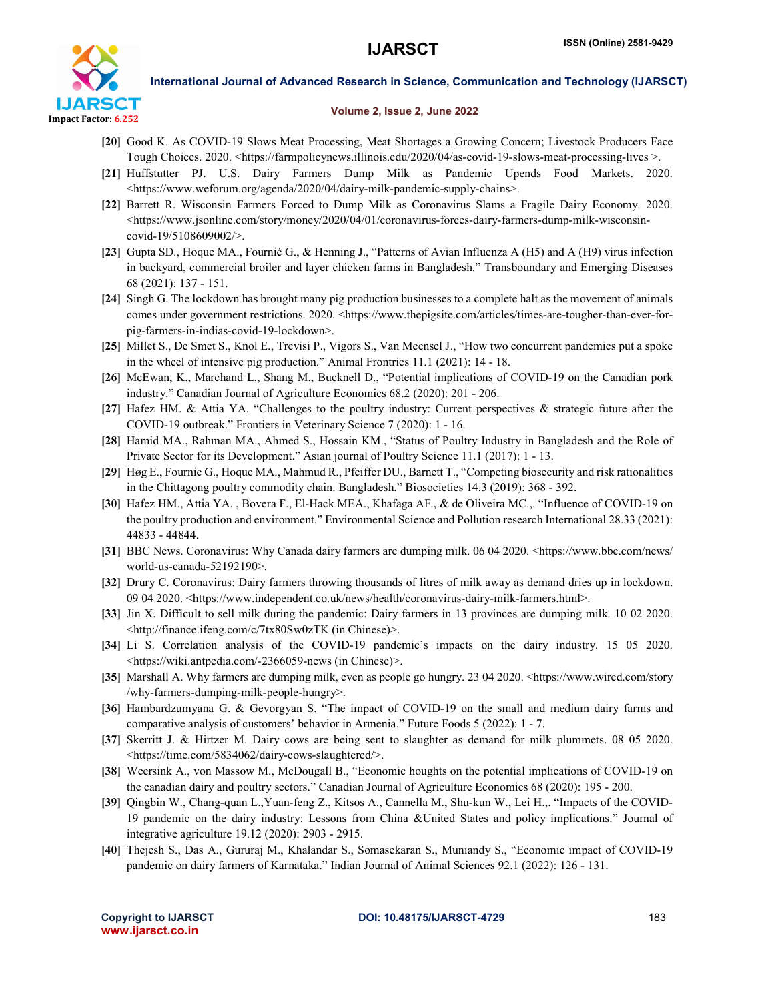

### Volume 2, Issue 2, June 2022

- [20] Good K. As COVID-19 Slows Meat Processing, Meat Shortages a Growing Concern; Livestock Producers Face Tough Choices. 2020. <https://farmpolicynews.illinois.edu/2020/04/as-covid-19-slows-meat-processing-lives >.
- [21] Huffstutter PJ. U.S. Dairy Farmers Dump Milk as Pandemic Upends Food Markets. 2020. <https://www.weforum.org/agenda/2020/04/dairy-milk-pandemic-supply-chains>.
- [22] Barrett R. Wisconsin Farmers Forced to Dump Milk as Coronavirus Slams a Fragile Dairy Economy. 2020.  $\lt$ https://www.jsonline.com/story/money/2020/04/01/coronavirus-forces-dairy-farmers-dump-milk-wisconsincovid-19/5108609002/>.
- [23] Gupta SD., Hoque MA., Fournié G., & Henning J., "Patterns of Avian Influenza A (H5) and A (H9) virus infection in backyard, commercial broiler and layer chicken farms in Bangladesh." Transboundary and Emerging Diseases 68 (2021): 137 - 151.
- [24] Singh G. The lockdown has brought many pig production businesses to a complete halt as the movement of animals comes under government restrictions. 2020. <https://www.thepigsite.com/articles/times-are-tougher-than-ever-forpig-farmers-in-indias-covid-19-lockdown>.
- [25] Millet S., De Smet S., Knol E., Trevisi P., Vigors S., Van Meensel J., "How two concurrent pandemics put a spoke in the wheel of intensive pig production." Animal Frontries 11.1 (2021): 14 - 18.
- [26] McEwan, K., Marchand L., Shang M., Bucknell D., "Potential implications of COVID-19 on the Canadian pork industry." Canadian Journal of Agriculture Economics 68.2 (2020): 201 - 206.
- [27] Hafez HM. & Attia YA. "Challenges to the poultry industry: Current perspectives & strategic future after the COVID-19 outbreak." Frontiers in Veterinary Science 7 (2020): 1 - 16.
- [28] Hamid MA., Rahman MA., Ahmed S., Hossain KM., "Status of Poultry Industry in Bangladesh and the Role of Private Sector for its Development." Asian journal of Poultry Science 11.1 (2017): 1 - 13.
- [29] Høg E., Fournie G., Hoque MA., Mahmud R., Pfeiffer DU., Barnett T., "Competing biosecurity and risk rationalities in the Chittagong poultry commodity chain. Bangladesh." Biosocieties 14.3 (2019): 368 - 392.
- [30] Hafez HM., Attia YA. , Bovera F., El-Hack MEA., Khafaga AF., & de Oliveira MC.,. "Influence of COVID-19 on the poultry production and environment." Environmental Science and Pollution research International 28.33 (2021): 44833 - 44844.
- [31] BBC News. Coronavirus: Why Canada dairy farmers are dumping milk. 06 04 2020. <https://www.bbc.com/news/ world-us-canada-52192190>.
- [32] Drury C. Coronavirus: Dairy farmers throwing thousands of litres of milk away as demand dries up in lockdown. 09 04 2020. <https://www.independent.co.uk/news/health/coronavirus-dairy-milk-farmers.html>.
- [33] Jin X. Difficult to sell milk during the pandemic: Dairy farmers in 13 provinces are dumping milk. 10 02 2020. <http://finance.ifeng.com/c/7tx80Sw0zTK (in Chinese)>.
- [34] Li S. Correlation analysis of the COVID-19 pandemic's impacts on the dairy industry. 15 05 2020. <https://wiki.antpedia.com/-2366059-news (in Chinese)>.
- [35] Marshall A. Why farmers are dumping milk, even as people go hungry. 23 04 2020. <https://www.wired.com/story /why-farmers-dumping-milk-people-hungry>.
- [36] Hambardzumyana G. & Gevorgyan S. "The impact of COVID-19 on the small and medium dairy farms and comparative analysis of customers' behavior in Armenia." Future Foods 5 (2022): 1 - 7.
- [37] Skerritt J. & Hirtzer M. Dairy cows are being sent to slaughter as demand for milk plummets. 08 05 2020. <https://time.com/5834062/dairy-cows-slaughtered/>.
- [38] Weersink A., von Massow M., McDougall B., "Economic houghts on the potential implications of COVID-19 on the canadian dairy and poultry sectors." Canadian Journal of Agriculture Economics 68 (2020): 195 - 200.
- [39] Qingbin W., Chang-quan L.,Yuan-feng Z., Kitsos A., Cannella M., Shu-kun W., Lei H.,. "Impacts of the COVID-19 pandemic on the dairy industry: Lessons from China &United States and policy implications." Journal of integrative agriculture 19.12 (2020): 2903 - 2915.
- [40] Thejesh S., Das A., Gururaj M., Khalandar S., Somasekaran S., Muniandy S., "Economic impact of COVID-19 pandemic on dairy farmers of Karnataka." Indian Journal of Animal Sciences 92.1 (2022): 126 - 131.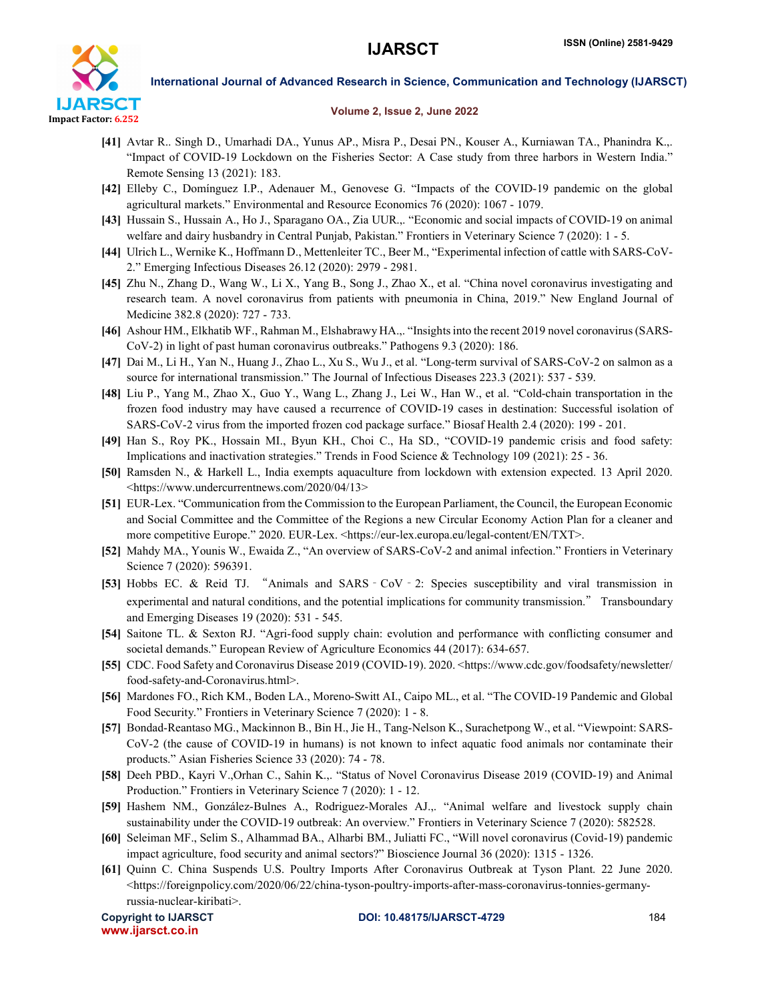

# Volume 2, Issue 2, June 2022

- [41] Avtar R.. Singh D., Umarhadi DA., Yunus AP., Misra P., Desai PN., Kouser A., Kurniawan TA., Phanindra K.,. "Impact of COVID-19 Lockdown on the Fisheries Sector: A Case study from three harbors in Western India." Remote Sensing 13 (2021): 183.
- [42] Elleby C., Domínguez I.P., Adenauer M., Genovese G. "Impacts of the COVID-19 pandemic on the global agricultural markets." Environmental and Resource Economics 76 (2020): 1067 - 1079.
- [43] Hussain S., Hussain A., Ho J., Sparagano OA., Zia UUR.,. "Economic and social impacts of COVID-19 on animal welfare and dairy husbandry in Central Punjab, Pakistan." Frontiers in Veterinary Science 7 (2020): 1 - 5.
- [44] Ulrich L., Wernike K., Hoffmann D., Mettenleiter TC., Beer M., "Experimental infection of cattle with SARS-CoV-2." Emerging Infectious Diseases 26.12 (2020): 2979 - 2981.
- [45] Zhu N., Zhang D., Wang W., Li X., Yang B., Song J., Zhao X., et al. "China novel coronavirus investigating and research team. A novel coronavirus from patients with pneumonia in China, 2019." New England Journal of Medicine 382.8 (2020): 727 - 733.
- [46] Ashour HM., Elkhatib WF., Rahman M., Elshabrawy HA.,. "Insights into the recent 2019 novel coronavirus (SARS-CoV-2) in light of past human coronavirus outbreaks." Pathogens 9.3 (2020): 186.
- [47] Dai M., Li H., Yan N., Huang J., Zhao L., Xu S., Wu J., et al. "Long-term survival of SARS-CoV-2 on salmon as a source for international transmission." The Journal of Infectious Diseases 223.3 (2021): 537 - 539.
- [48] Liu P., Yang M., Zhao X., Guo Y., Wang L., Zhang J., Lei W., Han W., et al. "Cold-chain transportation in the frozen food industry may have caused a recurrence of COVID-19 cases in destination: Successful isolation of SARS-CoV-2 virus from the imported frozen cod package surface." Biosaf Health 2.4 (2020): 199 - 201.
- [49] Han S., Roy PK., Hossain MI., Byun KH., Choi C., Ha SD., "COVID-19 pandemic crisis and food safety: Implications and inactivation strategies." Trends in Food Science & Technology 109 (2021): 25 - 36.
- [50] Ramsden N., & Harkell L., India exempts aquaculture from lockdown with extension expected. 13 April 2020. <https://www.undercurrentnews.com/2020/04/13>
- [51] EUR-Lex. "Communication from the Commission to the European Parliament, the Council, the European Economic and Social Committee and the Committee of the Regions a new Circular Economy Action Plan for a cleaner and more competitive Europe." 2020. EUR-Lex. <https://eur-lex.europa.eu/legal-content/EN/TXT>.
- [52] Mahdy MA., Younis W., Ewaida Z., "An overview of SARS-CoV-2 and animal infection." Frontiers in Veterinary Science 7 (2020): 596391.
- [53] Hobbs EC. & Reid TJ. "Animals and SARS‐CoV‐2: Species susceptibility and viral transmission in experimental and natural conditions, and the potential implications for community transmission." Transboundary and Emerging Diseases 19 (2020): 531 - 545.
- [54] Saitone TL. & Sexton RJ. "Agri-food supply chain: evolution and performance with conflicting consumer and societal demands." European Review of Agriculture Economics 44 (2017): 634-657.
- [55] CDC. Food Safety and Coronavirus Disease 2019 (COVID-19). 2020. <https://www.cdc.gov/foodsafety/newsletter/ food-safety-and-Coronavirus.html>.
- [56] Mardones FO., Rich KM., Boden LA., Moreno-Switt AI., Caipo ML., et al. "The COVID-19 Pandemic and Global Food Security." Frontiers in Veterinary Science 7 (2020): 1 - 8.
- [57] Bondad-Reantaso MG., Mackinnon B., Bin H., Jie H., Tang-Nelson K., Surachetpong W., et al. "Viewpoint: SARS-CoV-2 (the cause of COVID-19 in humans) is not known to infect aquatic food animals nor contaminate their products." Asian Fisheries Science 33 (2020): 74 - 78.
- [58] Deeh PBD., Kayri V.,Orhan C., Sahin K.,. "Status of Novel Coronavirus Disease 2019 (COVID-19) and Animal Production." Frontiers in Veterinary Science 7 (2020): 1 - 12.
- [59] Hashem NM., González-Bulnes A., Rodriguez-Morales AJ.,. "Animal welfare and livestock supply chain sustainability under the COVID-19 outbreak: An overview." Frontiers in Veterinary Science 7 (2020): 582528.
- [60] Seleiman MF., Selim S., Alhammad BA., Alharbi BM., Juliatti FC., "Will novel coronavirus (Covid-19) pandemic impact agriculture, food security and animal sectors?" Bioscience Journal 36 (2020): 1315 - 1326.
- [61] Quinn C. China Suspends U.S. Poultry Imports After Coronavirus Outbreak at Tyson Plant. 22 June 2020.  $\lt$ https://foreignpolicy.com/2020/06/22/china-tyson-poultry-imports-after-mass-coronavirus-tonnies-germanyrussia-nuclear-kiribati>.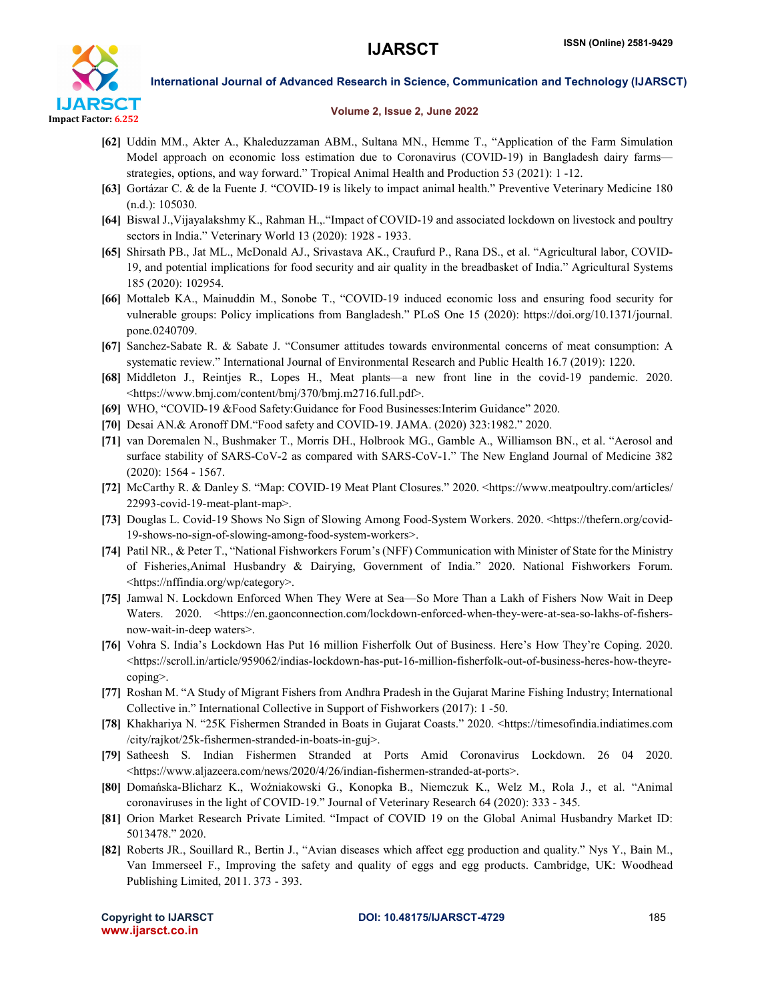

## Volume 2, Issue 2, June 2022

- [62] Uddin MM., Akter A., Khaleduzzaman ABM., Sultana MN., Hemme T., "Application of the Farm Simulation Model approach on economic loss estimation due to Coronavirus (COVID-19) in Bangladesh dairy farms strategies, options, and way forward." Tropical Animal Health and Production 53 (2021): 1 -12.
- [63] Gortázar C. & de la Fuente J. "COVID-19 is likely to impact animal health." Preventive Veterinary Medicine 180 (n.d.): 105030.
- [64] Biswal J.,Vijayalakshmy K., Rahman H.,."Impact of COVID-19 and associated lockdown on livestock and poultry sectors in India." Veterinary World 13 (2020): 1928 - 1933.
- [65] Shirsath PB., Jat ML., McDonald AJ., Srivastava AK., Craufurd P., Rana DS., et al. "Agricultural labor, COVID-19, and potential implications for food security and air quality in the breadbasket of India." Agricultural Systems 185 (2020): 102954.
- [66] Mottaleb KA., Mainuddin M., Sonobe T., "COVID-19 induced economic loss and ensuring food security for vulnerable groups: Policy implications from Bangladesh." PLoS One 15 (2020): https://doi.org/10.1371/journal. pone.0240709.
- [67] Sanchez-Sabate R. & Sabate J. "Consumer attitudes towards environmental concerns of meat consumption: A systematic review." International Journal of Environmental Research and Public Health 16.7 (2019): 1220.
- [68] Middleton J., Reintjes R., Lopes H., Meat plants—a new front line in the covid-19 pandemic. 2020. <https://www.bmj.com/content/bmj/370/bmj.m2716.full.pdf>.
- [69] WHO, "COVID-19 &Food Safety:Guidance for Food Businesses:Interim Guidance" 2020.
- [70] Desai AN.& Aronoff DM."Food safety and COVID-19. JAMA. (2020) 323:1982." 2020.
- [71] van Doremalen N., Bushmaker T., Morris DH., Holbrook MG., Gamble A., Williamson BN., et al. "Aerosol and surface stability of SARS-CoV-2 as compared with SARS-CoV-1." The New England Journal of Medicine 382 (2020): 1564 - 1567.
- [72] McCarthy R. & Danley S. "Map: COVID-19 Meat Plant Closures." 2020. <https://www.meatpoultry.com/articles/ 22993-covid-19-meat-plant-map>.
- [73] Douglas L. Covid-19 Shows No Sign of Slowing Among Food-System Workers. 2020. <https://thefern.org/covid-19-shows-no-sign-of-slowing-among-food-system-workers>.
- [74] Patil NR., & Peter T., "National Fishworkers Forum's (NFF) Communication with Minister of State for the Ministry of Fisheries,Animal Husbandry & Dairying, Government of India." 2020. National Fishworkers Forum. <https://nffindia.org/wp/category>.
- [75] Jamwal N. Lockdown Enforced When They Were at Sea—So More Than a Lakh of Fishers Now Wait in Deep Waters. 2020. <https://en.gaonconnection.com/lockdown-enforced-when-they-were-at-sea-so-lakhs-of-fishersnow-wait-in-deep waters>.
- [76] Vohra S. India's Lockdown Has Put 16 million Fisherfolk Out of Business. Here's How They're Coping. 2020.  $\langle$ https://scroll.in/article/959062/indias-lockdown-has-put-16-million-fisherfolk-out-of-business-heres-how-theyrecoping>.
- [77] Roshan M. "A Study of Migrant Fishers from Andhra Pradesh in the Gujarat Marine Fishing Industry; International Collective in." International Collective in Support of Fishworkers (2017): 1 -50.
- [78] Khakhariya N. "25K Fishermen Stranded in Boats in Gujarat Coasts." 2020. <https://timesofindia.indiatimes.com /city/rajkot/25k-fishermen-stranded-in-boats-in-guj>.
- [79] Satheesh S. Indian Fishermen Stranded at Ports Amid Coronavirus Lockdown. 26 04 2020. <https://www.aljazeera.com/news/2020/4/26/indian-fishermen-stranded-at-ports>.
- [80] Domańska-Blicharz K., Woźniakowski G., Konopka B., Niemczuk K., Welz M., Rola J., et al. "Animal coronaviruses in the light of COVID-19." Journal of Veterinary Research 64 (2020): 333 - 345.
- [81] Orion Market Research Private Limited. "Impact of COVID 19 on the Global Animal Husbandry Market ID: 5013478." 2020.
- [82] Roberts JR., Souillard R., Bertin J., "Avian diseases which affect egg production and quality." Nys Y., Bain M., Van Immerseel F., Improving the safety and quality of eggs and egg products. Cambridge, UK: Woodhead Publishing Limited, 2011. 373 - 393.